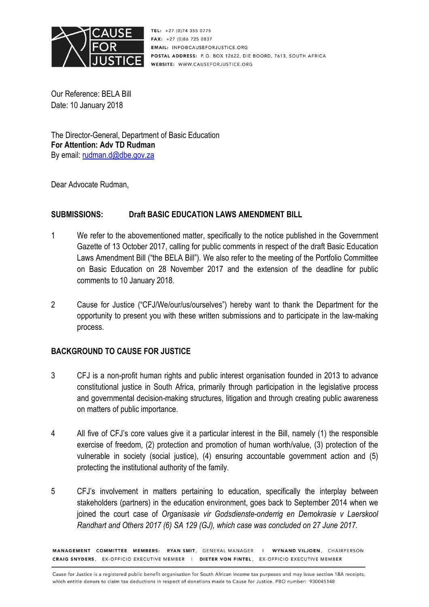

TEL: +27 (0)74 355 0775 **FAX:**  $+27(0)867250837$ **EMAIL: INFO@CAUSFFORJUSTICE ORG** POSTAL ADDRESS: P.O. BOX 12622, DIE BOORD, 7613, SOUTH AFRICA WEBSITE: WWW.CAUSEFORJUSTICE.ORG

Our Reference: BELA Bill Date: 10 January 2018

The Director-General, Department of Basic Education **For Attention: Adv TD Rudman**  By email: rudman.d@dbe.gov.za

Dear Advocate Rudman,

## **SUBMISSIONS: Draft BASIC EDUCATION LAWS AMENDMENT BILL**

- 1 We refer to the abovementioned matter, specifically to the notice published in the Government Gazette of 13 October 2017, calling for public comments in respect of the draft Basic Education Laws Amendment Bill ("the BELA Bill"). We also refer to the meeting of the Portfolio Committee on Basic Education on 28 November 2017 and the extension of the deadline for public comments to 10 January 2018.
- 2 Cause for Justice ("CFJ/We/our/us/ourselves") hereby want to thank the Department for the opportunity to present you with these written submissions and to participate in the law-making process.

## **BACKGROUND TO CAUSE FOR JUSTICE**

- 3 CFJ is a non-profit human rights and public interest organisation founded in 2013 to advance constitutional justice in South Africa, primarily through participation in the legislative process and governmental decision-making structures, litigation and through creating public awareness on matters of public importance.
- 4 All five of CFJ's core values give it a particular interest in the Bill, namely (1) the responsible exercise of freedom, (2) protection and promotion of human worth/value, (3) protection of the vulnerable in society (social justice), (4) ensuring accountable government action and (5) protecting the institutional authority of the family.
- 5 CFJ's involvement in matters pertaining to education, specifically the interplay between stakeholders (partners) in the education environment, goes back to September 2014 when we joined the court case of *Organisasie vir Godsdienste-onderrig en Demokrasie v Laerskool Randhart and Others 2017 (6) SA 129 (GJ), which case was concluded on 27 June 2017.*

MANAGEMENT COMMITTEE MEMBERS: RYAN SMIT, GENERAL MANAGER I WYNAND VILJOEN, CHAIRPERSON CRAIG SNYDERS, EX-OFFICIO EXECUTIVE MEMBER | DIETER VON FINTEL, EX-OFFICIO EXECUTIVE MEMBER

Cause for Justice is a registered public benefit organisation for South African income tax purposes and may issue section 18A receipts, which entitle donors to claim tax deductions in respect of donations made to Cause for Justice, PBO number: 930045148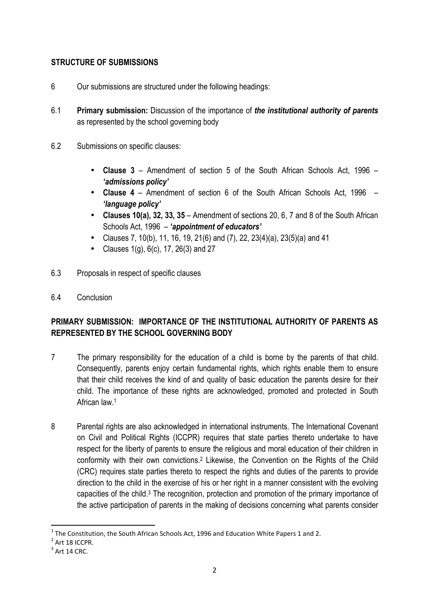# **STRUCTURE OF SUBMISSIONS**

- 6 Our submissions are structured under the following headings:
- 6.1 **Primary submission:** Discussion of the importance of *the institutional authority of parents* as represented by the school governing body
- 6.2 Submissions on specific clauses:
	- **Clause 3** Amendment of section 5 of the South African Schools Act, 1996 *'admissions policy'*
	- **Clause 4** Amendment of section 6 of the South African Schools Act, 1996 *'language policy'*
	- **Clauses 10(a), 32, 33, 35** Amendment of sections 20, 6, 7 and 8 of the South African Schools Act, 1996 – *'appointment of educators'*
	- Clauses 7, 10(b), 11, 16, 19, 21(6) and (7), 22, 23(4)(a), 23(5)(a) and 41
	- Clauses 1(g), 6(c), 17, 26(3) and 27
- 6.3 Proposals in respect of specific clauses
- 6.4 Conclusion

# **PRIMARY SUBMISSION: IMPORTANCE OF THE INSTITUTIONAL AUTHORITY OF PARENTS AS REPRESENTED BY THE SCHOOL GOVERNING BODY**

- 7 The primary responsibility for the education of a child is borne by the parents of that child. Consequently, parents enjoy certain fundamental rights, which rights enable them to ensure that their child receives the kind of and quality of basic education the parents desire for their child. The importance of these rights are acknowledged, promoted and protected in South African law.<sup>1</sup>
- 8 Parental rights are also acknowledged in international instruments. The International Covenant on Civil and Political Rights (ICCPR) requires that state parties thereto undertake to have respect for the liberty of parents to ensure the religious and moral education of their children in conformity with their own convictions.<sup>2</sup> Likewise, the Convention on the Rights of the Child (CRC) requires state parties thereto to respect the rights and duties of the parents to provide direction to the child in the exercise of his or her right in a manner consistent with the evolving capacities of the child.<sup>3</sup> The recognition, protection and promotion of the primary importance of the active participation of parents in the making of decisions concerning what parents consider

l

 $^1$  The Constitution, the South African Schools Act, 1996 and Education White Papers 1 and 2.

 $2$  Art 18 ICCPR.

 $3$  Art 14 CRC.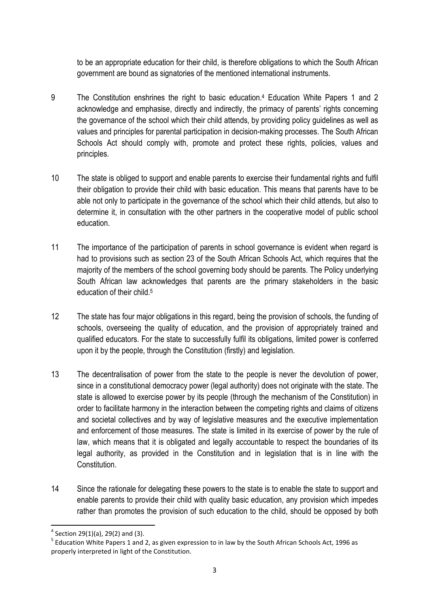to be an appropriate education for their child, is therefore obligations to which the South African government are bound as signatories of the mentioned international instruments.

- 9 The Constitution enshrines the right to basic education.<sup>4</sup> Education White Papers 1 and 2 acknowledge and emphasise, directly and indirectly, the primacy of parents' rights concerning the governance of the school which their child attends, by providing policy guidelines as well as values and principles for parental participation in decision-making processes. The South African Schools Act should comply with, promote and protect these rights, policies, values and principles.
- 10 The state is obliged to support and enable parents to exercise their fundamental rights and fulfil their obligation to provide their child with basic education. This means that parents have to be able not only to participate in the governance of the school which their child attends, but also to determine it, in consultation with the other partners in the cooperative model of public school education.
- 11 The importance of the participation of parents in school governance is evident when regard is had to provisions such as section 23 of the South African Schools Act, which requires that the majority of the members of the school governing body should be parents. The Policy underlying South African law acknowledges that parents are the primary stakeholders in the basic education of their child.<sup>5</sup>
- 12 The state has four major obligations in this regard, being the provision of schools, the funding of schools, overseeing the quality of education, and the provision of appropriately trained and qualified educators. For the state to successfully fulfil its obligations, limited power is conferred upon it by the people, through the Constitution (firstly) and legislation.
- 13 The decentralisation of power from the state to the people is never the devolution of power, since in a constitutional democracy power (legal authority) does not originate with the state. The state is allowed to exercise power by its people (through the mechanism of the Constitution) in order to facilitate harmony in the interaction between the competing rights and claims of citizens and societal collectives and by way of legislative measures and the executive implementation and enforcement of those measures. The state is limited in its exercise of power by the rule of law, which means that it is obligated and legally accountable to respect the boundaries of its legal authority, as provided in the Constitution and in legislation that is in line with the Constitution.
- 14 Since the rationale for delegating these powers to the state is to enable the state to support and enable parents to provide their child with quality basic education, any provision which impedes rather than promotes the provision of such education to the child, should be opposed by both

l

 $4$  Section 29(1)(a), 29(2) and (3).

<sup>&</sup>lt;sup>5</sup> Education White Papers 1 and 2, as given expression to in law by the South African Schools Act, 1996 as properly interpreted in light of the Constitution.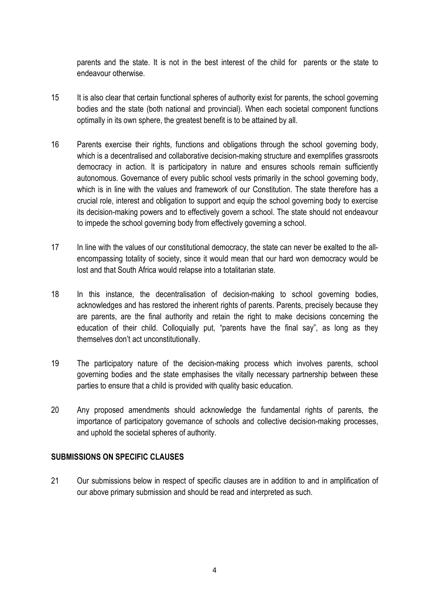parents and the state. It is not in the best interest of the child for parents or the state to endeavour otherwise.

- 15 It is also clear that certain functional spheres of authority exist for parents, the school governing bodies and the state (both national and provincial). When each societal component functions optimally in its own sphere, the greatest benefit is to be attained by all.
- 16 Parents exercise their rights, functions and obligations through the school governing body, which is a decentralised and collaborative decision-making structure and exemplifies grassroots democracy in action. It is participatory in nature and ensures schools remain sufficiently autonomous. Governance of every public school vests primarily in the school governing body, which is in line with the values and framework of our Constitution. The state therefore has a crucial role, interest and obligation to support and equip the school governing body to exercise its decision-making powers and to effectively govern a school. The state should not endeavour to impede the school governing body from effectively governing a school.
- 17 In line with the values of our constitutional democracy, the state can never be exalted to the allencompassing totality of society, since it would mean that our hard won democracy would be lost and that South Africa would relapse into a totalitarian state.
- 18 In this instance, the decentralisation of decision-making to school governing bodies, acknowledges and has restored the inherent rights of parents. Parents, precisely because they are parents, are the final authority and retain the right to make decisions concerning the education of their child. Colloquially put, "parents have the final say", as long as they themselves don't act unconstitutionally.
- 19 The participatory nature of the decision-making process which involves parents, school governing bodies and the state emphasises the vitally necessary partnership between these parties to ensure that a child is provided with quality basic education.
- 20 Any proposed amendments should acknowledge the fundamental rights of parents, the importance of participatory governance of schools and collective decision-making processes, and uphold the societal spheres of authority.

### **SUBMISSIONS ON SPECIFIC CLAUSES**

21 Our submissions below in respect of specific clauses are in addition to and in amplification of our above primary submission and should be read and interpreted as such.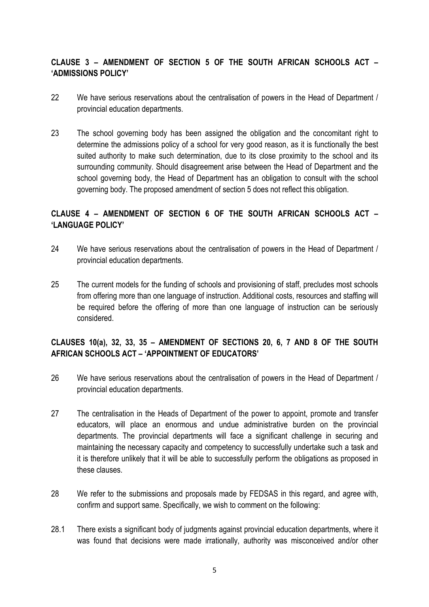# **CLAUSE 3 – AMENDMENT OF SECTION 5 OF THE SOUTH AFRICAN SCHOOLS ACT – 'ADMISSIONS POLICY'**

- 22 We have serious reservations about the centralisation of powers in the Head of Department / provincial education departments.
- 23 The school governing body has been assigned the obligation and the concomitant right to determine the admissions policy of a school for very good reason, as it is functionally the best suited authority to make such determination, due to its close proximity to the school and its surrounding community. Should disagreement arise between the Head of Department and the school governing body, the Head of Department has an obligation to consult with the school governing body. The proposed amendment of section 5 does not reflect this obligation.

# **CLAUSE 4 – AMENDMENT OF SECTION 6 OF THE SOUTH AFRICAN SCHOOLS ACT – 'LANGUAGE POLICY'**

- 24 We have serious reservations about the centralisation of powers in the Head of Department / provincial education departments.
- 25 The current models for the funding of schools and provisioning of staff, precludes most schools from offering more than one language of instruction. Additional costs, resources and staffing will be required before the offering of more than one language of instruction can be seriously considered.

# **CLAUSES 10(a), 32, 33, 35 – AMENDMENT OF SECTIONS 20, 6, 7 AND 8 OF THE SOUTH AFRICAN SCHOOLS ACT – 'APPOINTMENT OF EDUCATORS'**

- 26 We have serious reservations about the centralisation of powers in the Head of Department / provincial education departments.
- 27 The centralisation in the Heads of Department of the power to appoint, promote and transfer educators, will place an enormous and undue administrative burden on the provincial departments. The provincial departments will face a significant challenge in securing and maintaining the necessary capacity and competency to successfully undertake such a task and it is therefore unlikely that it will be able to successfully perform the obligations as proposed in these clauses.
- 28 We refer to the submissions and proposals made by FEDSAS in this regard, and agree with, confirm and support same. Specifically, we wish to comment on the following:
- 28.1 There exists a significant body of judgments against provincial education departments, where it was found that decisions were made irrationally, authority was misconceived and/or other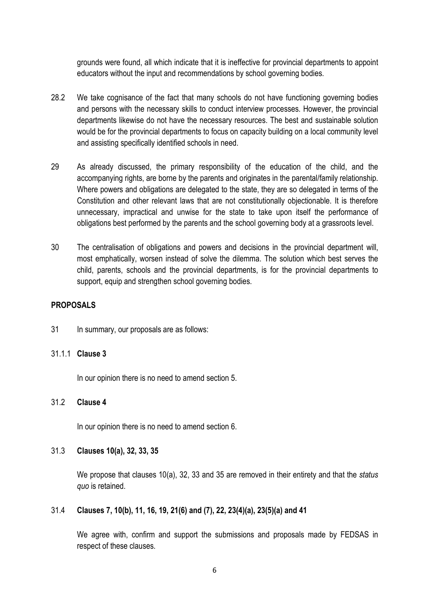grounds were found, all which indicate that it is ineffective for provincial departments to appoint educators without the input and recommendations by school governing bodies.

- 28.2 We take cognisance of the fact that many schools do not have functioning governing bodies and persons with the necessary skills to conduct interview processes. However, the provincial departments likewise do not have the necessary resources. The best and sustainable solution would be for the provincial departments to focus on capacity building on a local community level and assisting specifically identified schools in need.
- 29 As already discussed, the primary responsibility of the education of the child, and the accompanying rights, are borne by the parents and originates in the parental/family relationship. Where powers and obligations are delegated to the state, they are so delegated in terms of the Constitution and other relevant laws that are not constitutionally objectionable. It is therefore unnecessary, impractical and unwise for the state to take upon itself the performance of obligations best performed by the parents and the school governing body at a grassroots level.
- 30 The centralisation of obligations and powers and decisions in the provincial department will, most emphatically, worsen instead of solve the dilemma. The solution which best serves the child, parents, schools and the provincial departments, is for the provincial departments to support, equip and strengthen school governing bodies.

#### **PROPOSALS**

31 In summary, our proposals are as follows:

#### 31.1.1 **Clause 3**

In our opinion there is no need to amend section 5.

### 31.2 **Clause 4**

In our opinion there is no need to amend section 6.

#### 31.3 **Clauses 10(a), 32, 33, 35**

We propose that clauses 10(a), 32, 33 and 35 are removed in their entirety and that the *status quo* is retained.

## 31.4 **Clauses 7, 10(b), 11, 16, 19, 21(6) and (7), 22, 23(4)(a), 23(5)(a) and 41**

We agree with, confirm and support the submissions and proposals made by FEDSAS in respect of these clauses.